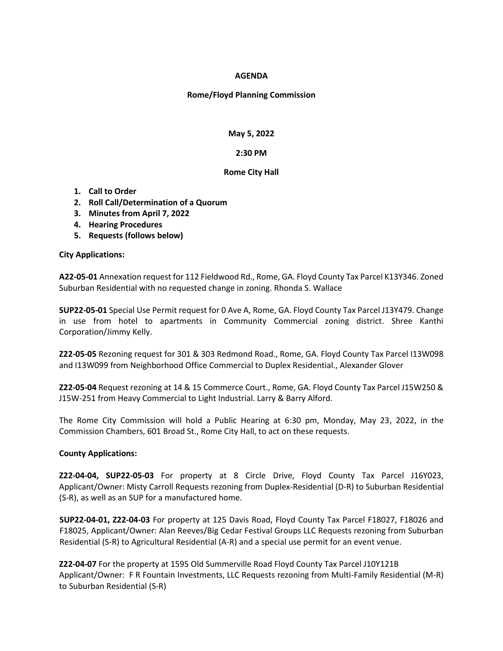## **AGENDA**

## **Rome/Floyd Planning Commission**

**May 5, 2022**

### **2:30 PM**

### **Rome City Hall**

- **1. Call to Order**
- **2. Roll Call/Determination of a Quorum**
- **3. Minutes from April 7, 2022**
- **4. Hearing Procedures**
- **5. Requests (follows below)**

### **City Applications:**

**A22-05-01** Annexation request for 112 Fieldwood Rd., Rome, GA. Floyd County Tax Parcel K13Y346. Zoned Suburban Residential with no requested change in zoning. Rhonda S. Wallace

**SUP22-05-01** Special Use Permit request for 0 Ave A, Rome, GA. Floyd County Tax Parcel J13Y479. Change in use from hotel to apartments in Community Commercial zoning district. Shree Kanthi Corporation/Jimmy Kelly.

**Z22-05-05** Rezoning request for 301 & 303 Redmond Road., Rome, GA. Floyd County Tax Parcel I13W098 and I13W099 from Neighborhood Office Commercial to Duplex Residential., Alexander Glover

**Z22-05-04** Request rezoning at 14 & 15 Commerce Court., Rome, GA. Floyd County Tax Parcel J15W250 & J15W-251 from Heavy Commercial to Light Industrial. Larry & Barry Alford.

The Rome City Commission will hold a Public Hearing at 6:30 pm, Monday, May 23, 2022, in the Commission Chambers, 601 Broad St., Rome City Hall, to act on these requests.

# **County Applications:**

**Z22-04-04, SUP22-05-03** For property at 8 Circle Drive, Floyd County Tax Parcel J16Y023, Applicant/Owner: Misty Carroll Requests rezoning from Duplex-Residential (D-R) to Suburban Residential (S-R), as well as an SUP for a manufactured home.

**SUP22-04-01, Z22-04-03** For property at 125 Davis Road, Floyd County Tax Parcel F18027, F18026 and F18025, Applicant/Owner: Alan Reeves/Big Cedar Festival Groups LLC Requests rezoning from Suburban Residential (S-R) to Agricultural Residential (A-R) and a special use permit for an event venue.

**Z22-04-07** For the property at 1595 Old Summerville Road Floyd County Tax Parcel J10Y121B Applicant/Owner: F R Fountain Investments, LLC Requests rezoning from Multi-Family Residential (M-R) to Suburban Residential (S-R)